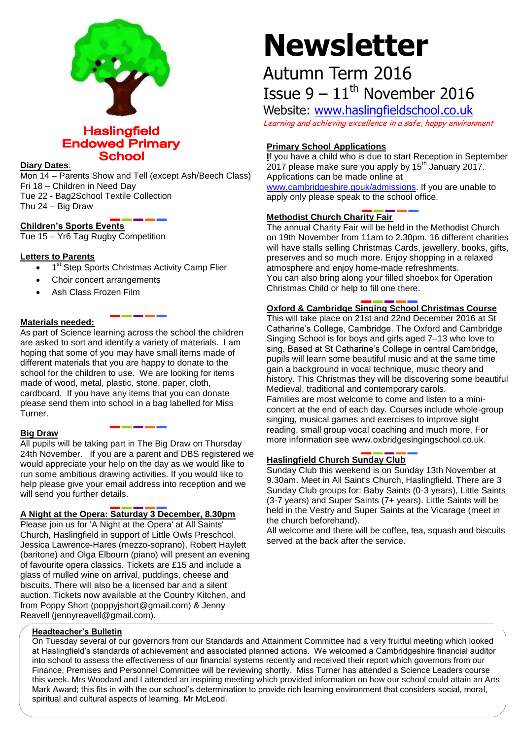

# **Haslingfield Endowed Primary School**

### **Diary Dates**:

Mon 14 – Parents Show and Tell (except Ash/Beech Class) Fri 18 – Children in Need Day Tue 22 - Bag2School Textile Collection Thu 24 – Big Draw

# **Children's Sports Events**

Tue 15 – Yr6 Tag Rugby Competition

# **Letters to Parents**

- <sup>o</sup> 1<sup>st</sup> Step Sports Christmas Activity Camp Flier
- Choir concert arrangements
- Ash Class Frozen Film

# **Materials needed:**

As part of Science learning across the school the children are asked to sort and identify a variety of materials. I am hoping that some of you may have small items made of different materials that you are happy to donate to the school for the children to use. We are looking for items made of wood, metal, plastic, stone, paper, cloth, cardboard. If you have any items that you can donate please send them into school in a bag labelled for Miss Turner.

# **Big Draw**

All pupils will be taking part in The Big Draw on Thursday 24th November. If you are a parent and DBS registered we would appreciate your help on the day as we would like to run some ambitious drawing activities. If you would like to help please give your email address into reception and we will send you further details.

# **A Night at the Opera: Saturday 3 December, 8.30pm**

Please join us for 'A Night at the Opera' at All Saints' Church, Haslingfield in support of Little Owls Preschool. Jessica Lawrence-Hares (mezzo-soprano), Robert Haylett (baritone) and Olga Elbourn (piano) will present an evening of favourite opera classics. Tickets are £15 and include a glass of mulled wine on arrival, puddings, cheese and biscuits. There will also be a licensed bar and a silent auction. Tickets now available at the Country Kitchen, and from Poppy Short (poppyjshort@gmail.com) & Jenny Reavell (jennyreavell@gmail.com).

# **Newsletter**

# Autumn Term 2016 Issue  $9 - 11$ <sup>th</sup> November 2016

Website: [www.haslingfieldschool.co.uk](http://www.haslingfieldschool.co.uk/) Learning and achieving excellence in a safe, happy environment

# **Primary School Applications**

**I**f you have a child who is due to start Reception in September  $2017$  please make sure you apply by  $15<sup>th</sup>$  January 2017. Applications can be made online at [www.cambridgeshire.gouk/admissions.](http://www.cambridgeshire.gouk/admissions) If you are unable to apply only please speak to the school office.

#### $\overline{a}$ **Methodist Church Charity Fair**

The annual Charity Fair will be held in the Methodist Church on 19th November from 11am to 2.30pm. 16 different charities will have stalls selling Christmas Cards, jewellery, books, gifts, preserves and so much more. Enjoy shopping in a relaxed atmosphere and enjoy home-made refreshments. You can also bring along your filled shoebox for Operation Christmas Child or help to fill one there.

# **Oxford & Cambridge Singing School Christmas Course**

This will take place on 21st and 22nd December 2016 at St Catharine's College, Cambridge. The Oxford and Cambridge Singing School is for boys and girls aged 7–13 who love to sing. Based at St Catharine's College in central Cambridge, pupils will learn some beautiful music and at the same time gain a background in vocal technique, music theory and history. This Christmas they will be discovering some beautiful Medieval, traditional and contemporary carols. Families are most welcome to come and listen to a miniconcert at the end of each day. Courses include whole-group singing, musical games and exercises to improve sight reading, small group vocal coaching and much more. For

more information see www.oxbridgesingingschool.co.uk.

# **Haslingfield Church Sunday Club**

Sunday Club this weekend is on Sunday 13th November at 9.30am. Meet in All Saint's Church, Haslingfield. There are 3 Sunday Club groups for: Baby Saints (0-3 years), Little Saints (3-7 years) and Super Saints (7+ years). Little Saints will be held in the Vestry and Super Saints at the Vicarage (meet in the church beforehand).

All welcome and there will be coffee, tea, squash and biscuits served at the back after the service.

# **Headteacher's Bulletin**

On Tuesday several of our governors from our Standards and Attainment Committee had a very fruitful meeting which looked at Haslingfield's standards of achievement and associated planned actions. We welcomed a Cambridgeshire financial auditor into school to assess the effectiveness of our financial systems recently and received their report which governors from our Finance, Premises and Personnel Committee will be reviewing shortly. Miss Turner has attended a Science Leaders course this week. Mrs Woodard and I attended an inspiring meeting which provided information on how our school could attain an Arts Mark Award; this fits in with the our school's determination to provide rich learning environment that considers social, moral, spiritual and cultural aspects of learning. Mr McLeod.